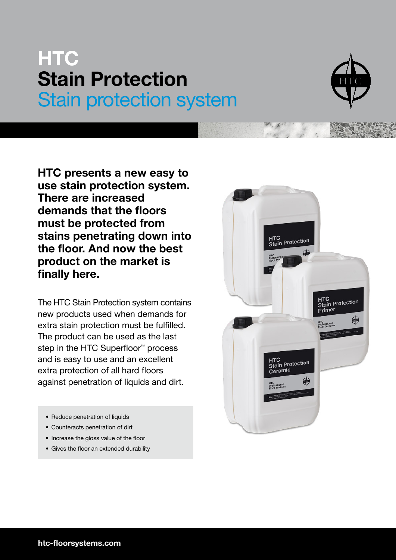## **HTC Stain Protection** Stain protection system



**HTC presents a new easy to use stain protection system. There are increased demands that the floors must be protected from stains penetrating down into the floor. And now the best product on the market is finally here.**

The HTC Stain Protection system contains new products used when demands for extra stain protection must be fulfilled. The product can be used as the last step in the HTC Superfloor<sup>™</sup> process and is easy to use and an excellent extra protection of all hard floors against penetration of liquids and dirt.

- Reduce penetration of liquids
- Counteracts penetration of dirt
- Increase the gloss value of the floor
- Gives the floor an extended durability